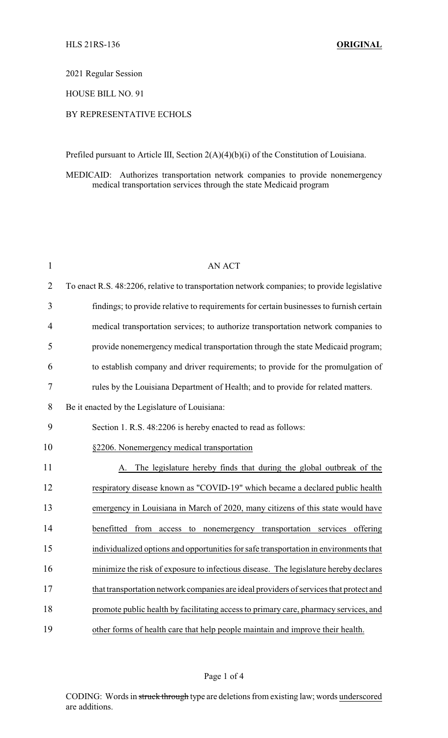2021 Regular Session

HOUSE BILL NO. 91

## BY REPRESENTATIVE ECHOLS

Prefiled pursuant to Article III, Section 2(A)(4)(b)(i) of the Constitution of Louisiana.

MEDICAID: Authorizes transportation network companies to provide nonemergency medical transportation services through the state Medicaid program

| $\mathbf{1}$   | <b>AN ACT</b>                                                                               |
|----------------|---------------------------------------------------------------------------------------------|
| $\overline{2}$ | To enact R.S. 48:2206, relative to transportation network companies; to provide legislative |
| 3              | findings; to provide relative to requirements for certain businesses to furnish certain     |
| $\overline{4}$ | medical transportation services; to authorize transportation network companies to           |
| 5              | provide nonemergency medical transportation through the state Medicaid program;             |
| 6              | to establish company and driver requirements; to provide for the promulgation of            |
| 7              | rules by the Louisiana Department of Health; and to provide for related matters.            |
| 8              | Be it enacted by the Legislature of Louisiana:                                              |
| 9              | Section 1. R.S. 48:2206 is hereby enacted to read as follows:                               |
| 10             | §2206. Nonemergency medical transportation                                                  |
| 11             | A. The legislature hereby finds that during the global outbreak of the                      |
| 12             | respiratory disease known as "COVID-19" which became a declared public health               |
| 13             | emergency in Louisiana in March of 2020, many citizens of this state would have             |
| 14             | benefitted from access to nonemergency transportation services offering                     |
| 15             | individualized options and opportunities for safe transportation in environments that       |
| 16             | minimize the risk of exposure to infectious disease. The legislature hereby declares        |
| 17             | that transportation network companies are ideal providers of services that protect and      |
| 18             | promote public health by facilitating access to primary care, pharmacy services, and        |
| 19             | other forms of health care that help people maintain and improve their health.              |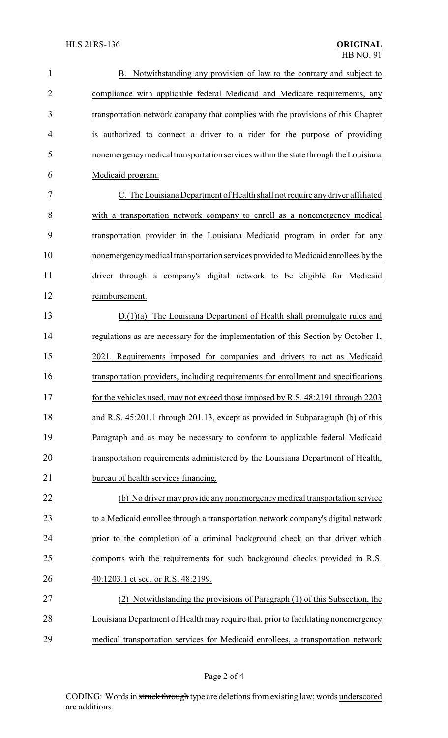| $\mathbf{1}$   | B. Notwithstanding any provision of law to the contrary and subject to              |
|----------------|-------------------------------------------------------------------------------------|
| $\overline{2}$ | compliance with applicable federal Medicaid and Medicare requirements, any          |
| 3              | transportation network company that complies with the provisions of this Chapter    |
| 4              | is authorized to connect a driver to a rider for the purpose of providing           |
| 5              | nonemergency medical transportation services within the state through the Louisiana |
| 6              | Medicaid program.                                                                   |
| 7              | C. The Louisiana Department of Health shall not require any driver affiliated       |
| 8              | with a transportation network company to enroll as a nonemergency medical           |
| 9              | transportation provider in the Louisiana Medicaid program in order for any          |
| 10             | nonemergency medical transportation services provided to Medicaid enrollees by the  |
| 11             | driver through a company's digital network to be eligible for Medicaid              |
| 12             | reimbursement.                                                                      |
| 13             | $D(1)(a)$ The Louisiana Department of Health shall promulgate rules and             |
| 14             | regulations as are necessary for the implementation of this Section by October 1,   |
| 15             | 2021. Requirements imposed for companies and drivers to act as Medicaid             |
| 16             | transportation providers, including requirements for enrollment and specifications  |
| 17             | for the vehicles used, may not exceed those imposed by R.S. 48:2191 through 2203    |
| 18             | and R.S. 45:201.1 through 201.13, except as provided in Subparagraph (b) of this    |
| 19             | Paragraph and as may be necessary to conform to applicable federal Medicaid         |
| 20             | transportation requirements administered by the Louisiana Department of Health,     |
| 21             | bureau of health services financing.                                                |
| 22             | (b) No driver may provide any nonemergency medical transportation service           |
| 23             | to a Medicaid enrollee through a transportation network company's digital network   |
| 24             | prior to the completion of a criminal background check on that driver which         |
| 25             | comports with the requirements for such background checks provided in R.S.          |
| 26             | 40:1203.1 et seq. or R.S. 48:2199.                                                  |
| 27             | (2) Notwithstanding the provisions of Paragraph (1) of this Subsection, the         |
| 28             | Louisiana Department of Health may require that, prior to facilitating nonemergency |
| 29             | medical transportation services for Medicaid enrollees, a transportation network    |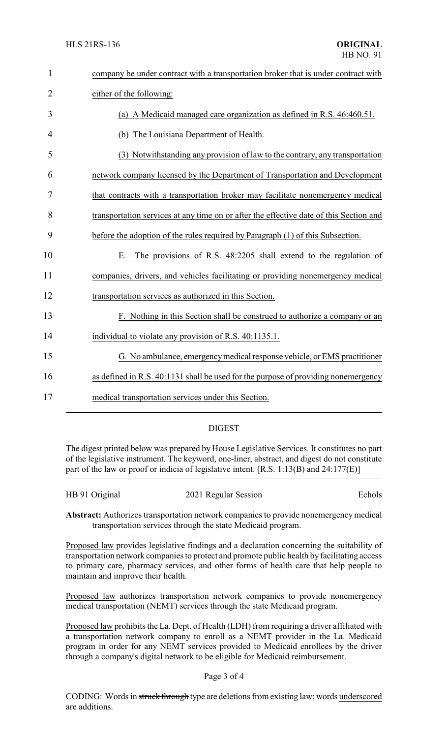| company be under contract with a transportation broker that is under contract with     |
|----------------------------------------------------------------------------------------|
| either of the following:                                                               |
| (a) A Medicaid managed care organization as defined in R.S. 46:460.51.                 |
| (b) The Louisiana Department of Health.                                                |
| (3) Notwithstanding any provision of law to the contrary, any transportation           |
| network company licensed by the Department of Transportation and Development           |
| that contracts with a transportation broker may facilitate nonemergency medical        |
| transportation services at any time on or after the effective date of this Section and |
| before the adoption of the rules required by Paragraph (1) of this Subsection.         |
| The provisions of R.S. 48:2205 shall extend to the regulation of<br>Е.                 |
| companies, drivers, and vehicles facilitating or providing nonemergency medical        |
| transportation services as authorized in this Section.                                 |
| F. Nothing in this Section shall be construed to authorize a company or an             |
| individual to violate any provision of R.S. 40:1135.1.                                 |
| G. No ambulance, emergency medical response vehicle, or EMS practitioner               |
| as defined in R.S. 40:1131 shall be used for the purpose of providing nonemergency     |
| medical transportation services under this Section.                                    |
|                                                                                        |

## DIGEST

The digest printed below was prepared by House Legislative Services. It constitutes no part of the legislative instrument. The keyword, one-liner, abstract, and digest do not constitute part of the law or proof or indicia of legislative intent. [R.S. 1:13(B) and 24:177(E)]

HB 91 Original 2021 Regular Session Echols

**Abstract:** Authorizes transportation network companies to provide nonemergency medical transportation services through the state Medicaid program.

Proposed law provides legislative findings and a declaration concerning the suitability of transportation network companies to protect and promote public health by facilitating access to primary care, pharmacy services, and other forms of health care that help people to maintain and improve their health.

Proposed law authorizes transportation network companies to provide nonemergency medical transportation (NEMT) services through the state Medicaid program.

Proposed law prohibits the La. Dept. of Health (LDH) from requiring a driver affiliated with a transportation network company to enroll as a NEMT provider in the La. Medicaid program in order for any NEMT services provided to Medicaid enrollees by the driver through a company's digital network to be eligible for Medicaid reimbursement.

## Page 3 of 4

CODING: Words in struck through type are deletions from existing law; words underscored are additions.